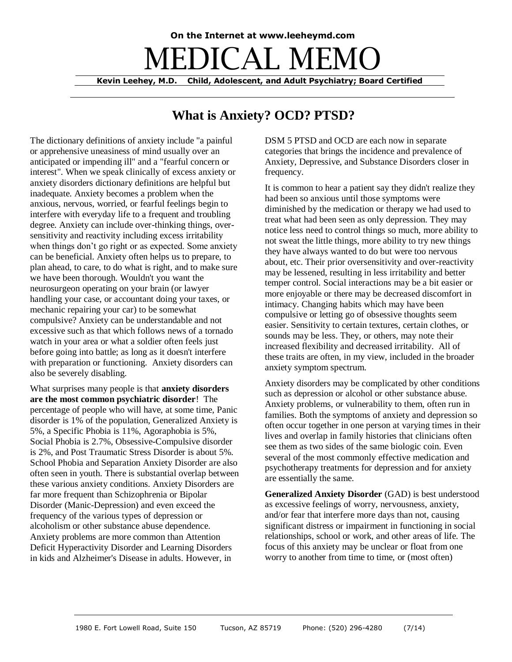## **On the Internet at www.leeheymd.com EDICAL MEM Kevin Leehey, M.D. Child, Adolescent, and Adult Psychiatry; Board Certified**

## **What is Anxiety? OCD? PTSD?**

The dictionary definitions of anxiety include "a painful or apprehensive uneasiness of mind usually over an anticipated or impending ill" and a "fearful concern or interest". When we speak clinically of excess anxiety or anxiety disorders dictionary definitions are helpful but inadequate. Anxiety becomes a problem when the anxious, nervous, worried, or fearful feelings begin to interfere with everyday life to a frequent and troubling degree. Anxiety can include over-thinking things, oversensitivity and reactivity including excess irritability when things don't go right or as expected. Some anxiety can be beneficial. Anxiety often helps us to prepare, to plan ahead, to care, to do what is right, and to make sure we have been thorough. Wouldn't you want the neurosurgeon operating on your brain (or lawyer handling your case, or accountant doing your taxes, or mechanic repairing your car) to be somewhat compulsive? Anxiety can be understandable and not excessive such as that which follows news of a tornado watch in your area or what a soldier often feels just before going into battle; as long as it doesn't interfere with preparation or functioning. Anxiety disorders can also be severely disabling.

What surprises many people is that **anxiety disorders are the most common psychiatric disorder**! The percentage of people who will have, at some time, Panic disorder is 1% of the population, Generalized Anxiety is 5%, a Specific Phobia is 11%, Agoraphobia is 5%, Social Phobia is 2.7%, Obsessive-Compulsive disorder is 2%, and Post Traumatic Stress Disorder is about 5%. School Phobia and Separation Anxiety Disorder are also often seen in youth. There is substantial overlap between these various anxiety conditions. Anxiety Disorders are far more frequent than Schizophrenia or Bipolar Disorder (Manic-Depression) and even exceed the frequency of the various types of depression or alcoholism or other substance abuse dependence. Anxiety problems are more common than Attention Deficit Hyperactivity Disorder and Learning Disorders in kids and Alzheimer's Disease in adults. However, in

DSM 5 PTSD and OCD are each now in separate categories that brings the incidence and prevalence of Anxiety, Depressive, and Substance Disorders closer in frequency.

It is common to hear a patient say they didn't realize they had been so anxious until those symptoms were diminished by the medication or therapy we had used to treat what had been seen as only depression. They may notice less need to control things so much, more ability to not sweat the little things, more ability to try new things they have always wanted to do but were too nervous about, etc. Their prior oversensitivity and over-reactivity may be lessened, resulting in less irritability and better temper control. Social interactions may be a bit easier or more enjoyable or there may be decreased discomfort in intimacy. Changing habits which may have been compulsive or letting go of obsessive thoughts seem easier. Sensitivity to certain textures, certain clothes, or sounds may be less. They, or others, may note their increased flexibility and decreased irritability. All of these traits are often, in my view, included in the broader anxiety symptom spectrum.

Anxiety disorders may be complicated by other conditions such as depression or alcohol or other substance abuse. Anxiety problems, or vulnerability to them, often run in families. Both the symptoms of anxiety and depression so often occur together in one person at varying times in their lives and overlap in family histories that clinicians often see them as two sides of the same biologic coin. Even several of the most commonly effective medication and psychotherapy treatments for depression and for anxiety are essentially the same.

**Generalized Anxiety Disorder** (GAD) is best understood as excessive feelings of worry, nervousness, anxiety, and/or fear that interfere more days than not, causing significant distress or impairment in functioning in social relationships, school or work, and other areas of life. The focus of this anxiety may be unclear or float from one worry to another from time to time, or (most often)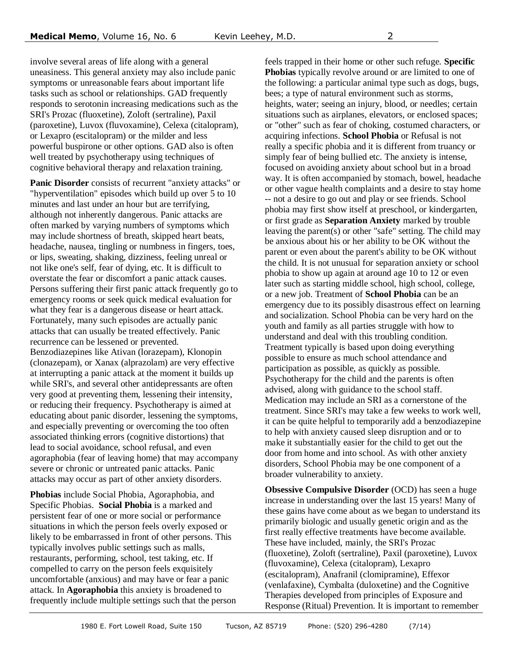involve several areas of life along with a general uneasiness. This general anxiety may also include panic symptoms or unreasonable fears about important life tasks such as school or relationships. GAD frequently responds to serotonin increasing medications such as the SRI's Prozac (fluoxetine), Zoloft (sertraline), Paxil (paroxetine), Luvox (fluvoxamine), Celexa (citalopram), or Lexapro (escitalopram) or the milder and less powerful buspirone or other options. GAD also is often well treated by psychotherapy using techniques of cognitive behavioral therapy and relaxation training.

**Panic Disorder** consists of recurrent "anxiety attacks" or "hyperventilation" episodes which build up over 5 to 10 minutes and last under an hour but are terrifying, although not inherently dangerous. Panic attacks are often marked by varying numbers of symptoms which may include shortness of breath, skipped heart beats, headache, nausea, tingling or numbness in fingers, toes, or lips, sweating, shaking, dizziness, feeling unreal or not like one's self, fear of dying, etc. It is difficult to overstate the fear or discomfort a panic attack causes. Persons suffering their first panic attack frequently go to emergency rooms or seek quick medical evaluation for what they fear is a dangerous disease or heart attack. Fortunately, many such episodes are actually panic attacks that can usually be treated effectively. Panic recurrence can be lessened or prevented. Benzodiazepines like Ativan (lorazepam), Klonopin (clonazepam), or Xanax (alprazolam) are very effective at interrupting a panic attack at the moment it builds up while SRI's, and several other antidepressants are often very good at preventing them, lessening their intensity, or reducing their frequency. Psychotherapy is aimed at educating about panic disorder, lessening the symptoms, and especially preventing or overcoming the too often associated thinking errors (cognitive distortions) that lead to social avoidance, school refusal, and even agoraphobia (fear of leaving home) that may accompany severe or chronic or untreated panic attacks. Panic attacks may occur as part of other anxiety disorders.

**Phobias** include Social Phobia, Agoraphobia, and Specific Phobias. **Social Phobia** is a marked and persistent fear of one or more social or performance situations in which the person feels overly exposed or likely to be embarrassed in front of other persons. This typically involves public settings such as malls, restaurants, performing, school, test taking, etc. If compelled to carry on the person feels exquisitely uncomfortable (anxious) and may have or fear a panic attack. In **Agoraphobia** this anxiety is broadened to frequently include multiple settings such that the person feels trapped in their home or other such refuge. **Specific Phobias** typically revolve around or are limited to one of the following: a particular animal type such as dogs, bugs, bees; a type of natural environment such as storms, heights, water; seeing an injury, blood, or needles; certain situations such as airplanes, elevators, or enclosed spaces; or "other" such as fear of choking, costumed characters, or acquiring infections. **School Phobia** or Refusal is not really a specific phobia and it is different from truancy or simply fear of being bullied etc. The anxiety is intense, focused on avoiding anxiety about school but in a broad way. It is often accompanied by stomach, bowel, headache or other vague health complaints and a desire to stay home -- not a desire to go out and play or see friends. School phobia may first show itself at preschool, or kindergarten, or first grade as **Separation Anxiety** marked by trouble leaving the parent(s) or other "safe" setting. The child may be anxious about his or her ability to be OK without the parent or even about the parent's ability to be OK without the child. It is not unusual for separation anxiety or school phobia to show up again at around age 10 to 12 or even later such as starting middle school, high school, college, or a new job. Treatment of **School Phobia** can be an emergency due to its possibly disastrous effect on learning and socialization. School Phobia can be very hard on the youth and family as all parties struggle with how to understand and deal with this troubling condition. Treatment typically is based upon doing everything possible to ensure as much school attendance and participation as possible, as quickly as possible. Psychotherapy for the child and the parents is often advised, along with guidance to the school staff. Medication may include an SRI as a cornerstone of the treatment. Since SRI's may take a few weeks to work well, it can be quite helpful to temporarily add a benzodiazepine to help with anxiety caused sleep disruption and or to make it substantially easier for the child to get out the door from home and into school. As with other anxiety disorders, School Phobia may be one component of a broader vulnerability to anxiety.

**Obsessive Compulsive Disorder** (OCD) has seen a huge increase in understanding over the last 15 years! Many of these gains have come about as we began to understand its primarily biologic and usually genetic origin and as the first really effective treatments have become available. These have included, mainly, the SRI's Prozac (fluoxetine), Zoloft (sertraline), Paxil (paroxetine), Luvox (fluvoxamine), Celexa (citalopram), Lexapro (escitalopram), Anafranil (clomipramine), Effexor (venlafaxine), Cymbalta (duloxetine) and the Cognitive Therapies developed from principles of Exposure and Response (Ritual) Prevention. It is important to remember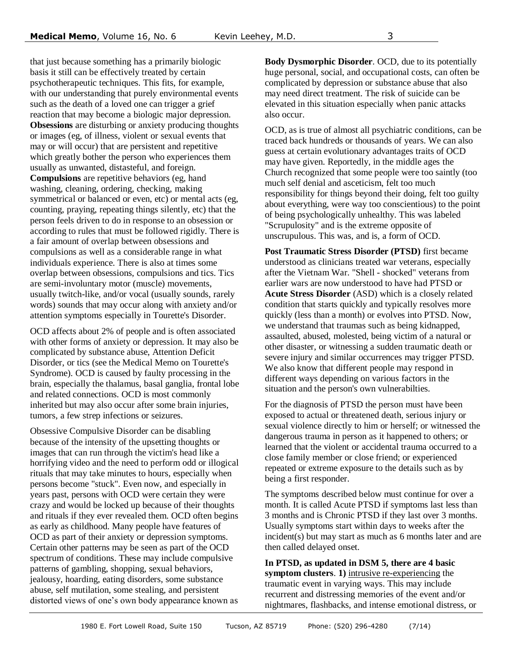that just because something has a primarily biologic basis it still can be effectively treated by certain psychotherapeutic techniques. This fits, for example, with our understanding that purely environmental events such as the death of a loved one can trigger a grief reaction that may become a biologic major depression. **Obsessions** are disturbing or anxiety producing thoughts or images (eg, of illness, violent or sexual events that may or will occur) that are persistent and repetitive which greatly bother the person who experiences them usually as unwanted, distasteful, and foreign. **Compulsions** are repetitive behaviors (eg, hand washing, cleaning, ordering, checking, making symmetrical or balanced or even, etc) or mental acts (eg, counting, praying, repeating things silently, etc) that the person feels driven to do in response to an obsession or according to rules that must be followed rigidly. There is a fair amount of overlap between obsessions and compulsions as well as a considerable range in what individuals experience. There is also at times some overlap between obsessions, compulsions and tics. Tics are semi-involuntary motor (muscle) movements, usually twitch-like, and/or vocal (usually sounds, rarely words) sounds that may occur along with anxiety and/or attention symptoms especially in Tourette's Disorder.

OCD affects about 2% of people and is often associated with other forms of anxiety or depression. It may also be complicated by substance abuse, Attention Deficit Disorder, or tics (see the Medical Memo on Tourette's Syndrome). OCD is caused by faulty processing in the brain, especially the thalamus, basal ganglia, frontal lobe and related connections. OCD is most commonly inherited but may also occur after some brain injuries, tumors, a few strep infections or seizures.

Obsessive Compulsive Disorder can be disabling because of the intensity of the upsetting thoughts or images that can run through the victim's head like a horrifying video and the need to perform odd or illogical rituals that may take minutes to hours, especially when persons become "stuck". Even now, and especially in years past, persons with OCD were certain they were crazy and would be locked up because of their thoughts and rituals if they ever revealed them. OCD often begins as early as childhood. Many people have features of OCD as part of their anxiety or depression symptoms. Certain other patterns may be seen as part of the OCD spectrum of conditions. These may include compulsive patterns of gambling, shopping, sexual behaviors, jealousy, hoarding, eating disorders, some substance abuse, self mutilation, some stealing, and persistent distorted views of one's own body appearance known as

**Body Dysmorphic Disorder**. OCD, due to its potentially huge personal, social, and occupational costs, can often be complicated by depression or substance abuse that also may need direct treatment. The risk of suicide can be elevated in this situation especially when panic attacks also occur.

OCD, as is true of almost all psychiatric conditions, can be traced back hundreds or thousands of years. We can also guess at certain evolutionary advantages traits of OCD may have given. Reportedly, in the middle ages the Church recognized that some people were too saintly (too much self denial and asceticism, felt too much responsibility for things beyond their doing, felt too guilty about everything, were way too conscientious) to the point of being psychologically unhealthy. This was labeled "Scrupulosity" and is the extreme opposite of unscrupulous. This was, and is, a form of OCD.

**Post Traumatic Stress Disorder (PTSD)** first became understood as clinicians treated war veterans, especially after the Vietnam War. "Shell - shocked" veterans from earlier wars are now understood to have had PTSD or **Acute Stress Disorder** (ASD) which is a closely related condition that starts quickly and typically resolves more quickly (less than a month) or evolves into PTSD. Now, we understand that traumas such as being kidnapped, assaulted, abused, molested, being victim of a natural or other disaster, or witnessing a sudden traumatic death or severe injury and similar occurrences may trigger PTSD. We also know that different people may respond in different ways depending on various factors in the situation and the person's own vulnerabilties.

For the diagnosis of PTSD the person must have been exposed to actual or threatened death, serious injury or sexual violence directly to him or herself; or witnessed the dangerous trauma in person as it happened to others; or learned that the violent or accidental trauma occurred to a close family member or close friend; or experienced repeated or extreme exposure to the details such as by being a first responder.

The symptoms described below must continue for over a month. It is called Acute PTSD if symptoms last less than 3 months and is Chronic PTSD if they last over 3 months. Usually symptoms start within days to weeks after the incident(s) but may start as much as 6 months later and are then called delayed onset.

**In PTSD, as updated in DSM 5, there are 4 basic symptom clusters**. **1)** intrusive re-experiencing the traumatic event in varying ways. This may include recurrent and distressing memories of the event and/or nightmares, flashbacks, and intense emotional distress, or